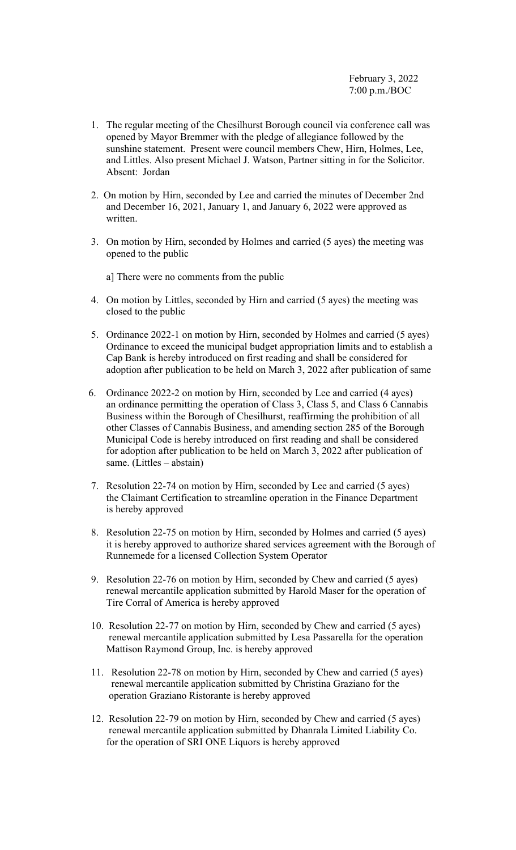- 1. The regular meeting of the Chesilhurst Borough council via conference call was opened by Mayor Bremmer with the pledge of allegiance followed by the sunshine statement. Present were council members Chew, Hirn, Holmes, Lee, and Littles. Also present Michael J. Watson, Partner sitting in for the Solicitor. Absent: Jordan
- 2. On motion by Hirn, seconded by Lee and carried the minutes of December 2nd and December 16, 2021, January 1, and January 6, 2022 were approved as written.
- 3. On motion by Hirn, seconded by Holmes and carried (5 ayes) the meeting was opened to the public
	- a] There were no comments from the public
- 4. On motion by Littles, seconded by Hirn and carried (5 ayes) the meeting was closed to the public
- 5. Ordinance 2022-1 on motion by Hirn, seconded by Holmes and carried (5 ayes) Ordinance to exceed the municipal budget appropriation limits and to establish a Cap Bank is hereby introduced on first reading and shall be considered for adoption after publication to be held on March 3, 2022 after publication of same
- 6. Ordinance 2022-2 on motion by Hirn, seconded by Lee and carried (4 ayes) an ordinance permitting the operation of Class 3, Class 5, and Class 6 Cannabis Business within the Borough of Chesilhurst, reaffirming the prohibition of all other Classes of Cannabis Business, and amending section 285 of the Borough Municipal Code is hereby introduced on first reading and shall be considered for adoption after publication to be held on March 3, 2022 after publication of same. (Littles – abstain)
- 7. Resolution 22-74 on motion by Hirn, seconded by Lee and carried (5 ayes) the Claimant Certification to streamline operation in the Finance Department is hereby approved
- 8. Resolution 22-75 on motion by Hirn, seconded by Holmes and carried (5 ayes) it is hereby approved to authorize shared services agreement with the Borough of Runnemede for a licensed Collection System Operator
- 9. Resolution 22-76 on motion by Hirn, seconded by Chew and carried (5 ayes) renewal mercantile application submitted by Harold Maser for the operation of Tire Corral of America is hereby approved
- 10. Resolution 22-77 on motion by Hirn, seconded by Chew and carried (5 ayes) renewal mercantile application submitted by Lesa Passarella for the operation Mattison Raymond Group, Inc. is hereby approved
- 11. Resolution 22-78 on motion by Hirn, seconded by Chew and carried (5 ayes) renewal mercantile application submitted by Christina Graziano for the operation Graziano Ristorante is hereby approved
- 12. Resolution 22-79 on motion by Hirn, seconded by Chew and carried (5 ayes) renewal mercantile application submitted by Dhanrala Limited Liability Co. for the operation of SRI ONE Liquors is hereby approved